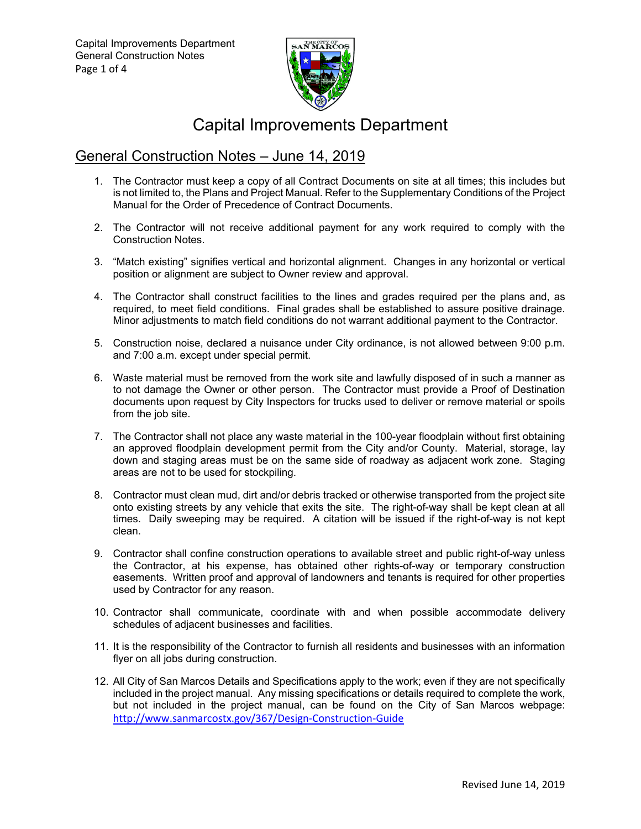

# Capital Improvements Department

## General Construction Notes – June 14, 2019

- 1. The Contractor must keep a copy of all Contract Documents on site at all times; this includes but is not limited to, the Plans and Project Manual. Refer to the Supplementary Conditions of the Project Manual for the Order of Precedence of Contract Documents.
- 2. The Contractor will not receive additional payment for any work required to comply with the Construction Notes.
- 3. "Match existing" signifies vertical and horizontal alignment. Changes in any horizontal or vertical position or alignment are subject to Owner review and approval.
- 4. The Contractor shall construct facilities to the lines and grades required per the plans and, as required, to meet field conditions. Final grades shall be established to assure positive drainage. Minor adjustments to match field conditions do not warrant additional payment to the Contractor.
- 5. Construction noise, declared a nuisance under City ordinance, is not allowed between 9:00 p.m. and 7:00 a.m. except under special permit.
- 6. Waste material must be removed from the work site and lawfully disposed of in such a manner as to not damage the Owner or other person. The Contractor must provide a Proof of Destination documents upon request by City Inspectors for trucks used to deliver or remove material or spoils from the job site.
- 7. The Contractor shall not place any waste material in the 100-year floodplain without first obtaining an approved floodplain development permit from the City and/or County. Material, storage, lay down and staging areas must be on the same side of roadway as adjacent work zone. Staging areas are not to be used for stockpiling.
- 8. Contractor must clean mud, dirt and/or debris tracked or otherwise transported from the project site onto existing streets by any vehicle that exits the site. The right-of-way shall be kept clean at all times. Daily sweeping may be required. A citation will be issued if the right-of-way is not kept clean.
- 9. Contractor shall confine construction operations to available street and public right-of-way unless the Contractor, at his expense, has obtained other rights-of-way or temporary construction easements. Written proof and approval of landowners and tenants is required for other properties used by Contractor for any reason.
- 10. Contractor shall communicate, coordinate with and when possible accommodate delivery schedules of adjacent businesses and facilities.
- 11. It is the responsibility of the Contractor to furnish all residents and businesses with an information flyer on all jobs during construction.
- 12. All City of San Marcos Details and Specifications apply to the work; even if they are not specifically included in the project manual. Any missing specifications or details required to complete the work, but not included in the project manual, can be found on the City of San Marcos webpage: http://www.sanmarcostx.gov/367/Design‐Construction‐Guide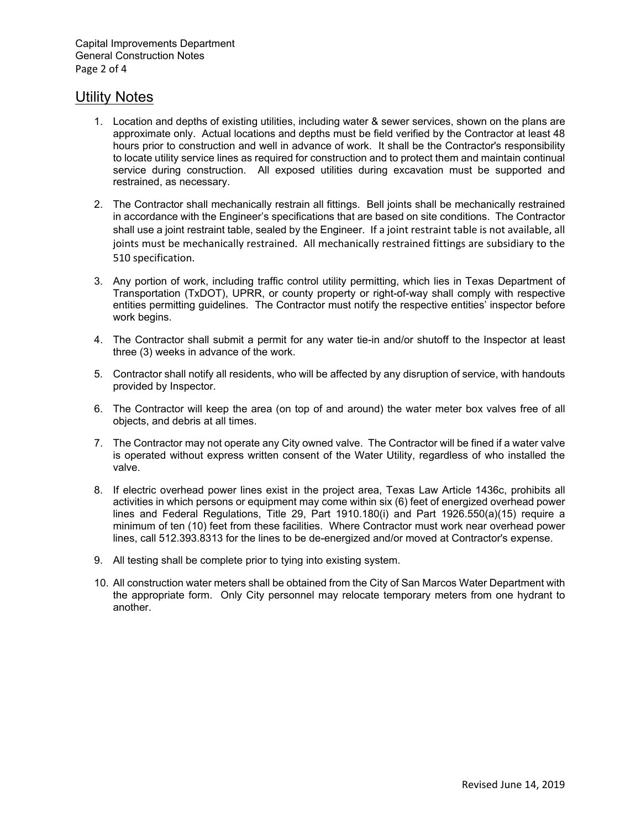#### Utility Notes

- 1. Location and depths of existing utilities, including water & sewer services, shown on the plans are approximate only. Actual locations and depths must be field verified by the Contractor at least 48 hours prior to construction and well in advance of work. It shall be the Contractor's responsibility to locate utility service lines as required for construction and to protect them and maintain continual service during construction. All exposed utilities during excavation must be supported and restrained, as necessary.
- 2. The Contractor shall mechanically restrain all fittings. Bell joints shall be mechanically restrained in accordance with the Engineer's specifications that are based on site conditions. The Contractor shall use a joint restraint table, sealed by the Engineer. If a joint restraint table is not available, all joints must be mechanically restrained. All mechanically restrained fittings are subsidiary to the 510 specification.
- 3. Any portion of work, including traffic control utility permitting, which lies in Texas Department of Transportation (TxDOT), UPRR, or county property or right-of-way shall comply with respective entities permitting guidelines. The Contractor must notify the respective entities' inspector before work begins.
- 4. The Contractor shall submit a permit for any water tie-in and/or shutoff to the Inspector at least three (3) weeks in advance of the work.
- 5. Contractor shall notify all residents, who will be affected by any disruption of service, with handouts provided by Inspector.
- 6. The Contractor will keep the area (on top of and around) the water meter box valves free of all objects, and debris at all times.
- 7. The Contractor may not operate any City owned valve. The Contractor will be fined if a water valve is operated without express written consent of the Water Utility, regardless of who installed the valve.
- 8. If electric overhead power lines exist in the project area, Texas Law Article 1436c, prohibits all activities in which persons or equipment may come within six (6) feet of energized overhead power lines and Federal Regulations, Title 29, Part 1910.180(i) and Part 1926.550(a)(15) require a minimum of ten (10) feet from these facilities. Where Contractor must work near overhead power lines, call 512.393.8313 for the lines to be de-energized and/or moved at Contractor's expense.
- 9. All testing shall be complete prior to tying into existing system.
- 10. All construction water meters shall be obtained from the City of San Marcos Water Department with the appropriate form. Only City personnel may relocate temporary meters from one hydrant to another.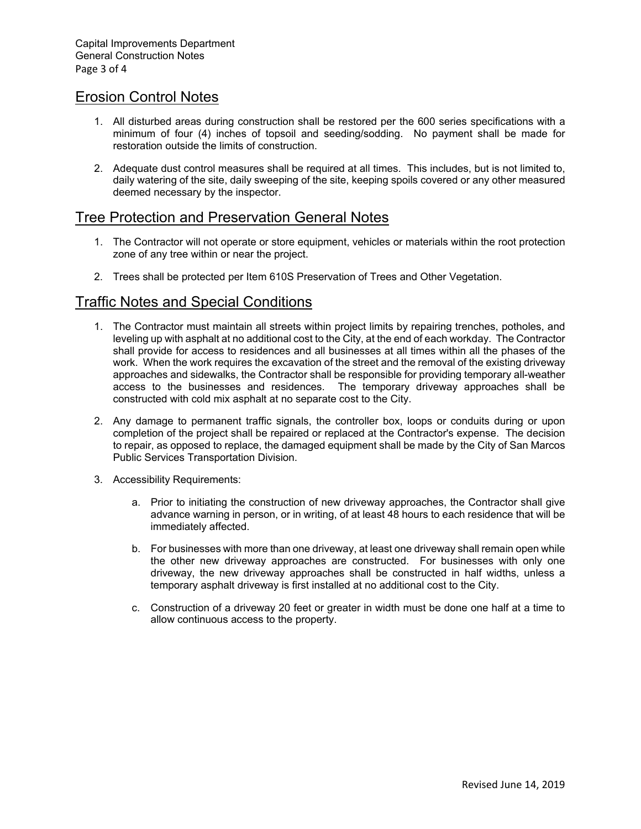#### Erosion Control Notes

- 1. All disturbed areas during construction shall be restored per the 600 series specifications with a minimum of four (4) inches of topsoil and seeding/sodding. No payment shall be made for restoration outside the limits of construction.
- 2. Adequate dust control measures shall be required at all times. This includes, but is not limited to, daily watering of the site, daily sweeping of the site, keeping spoils covered or any other measured deemed necessary by the inspector.

#### Tree Protection and Preservation General Notes

- 1. The Contractor will not operate or store equipment, vehicles or materials within the root protection zone of any tree within or near the project.
- 2. Trees shall be protected per Item 610S Preservation of Trees and Other Vegetation.

#### Traffic Notes and Special Conditions

- 1. The Contractor must maintain all streets within project limits by repairing trenches, potholes, and leveling up with asphalt at no additional cost to the City, at the end of each workday. The Contractor shall provide for access to residences and all businesses at all times within all the phases of the work. When the work requires the excavation of the street and the removal of the existing driveway approaches and sidewalks, the Contractor shall be responsible for providing temporary all-weather access to the businesses and residences. The temporary driveway approaches shall be constructed with cold mix asphalt at no separate cost to the City.
- 2. Any damage to permanent traffic signals, the controller box, loops or conduits during or upon completion of the project shall be repaired or replaced at the Contractor's expense. The decision to repair, as opposed to replace, the damaged equipment shall be made by the City of San Marcos Public Services Transportation Division.
- 3. Accessibility Requirements:
	- a. Prior to initiating the construction of new driveway approaches, the Contractor shall give advance warning in person, or in writing, of at least 48 hours to each residence that will be immediately affected.
	- b. For businesses with more than one driveway, at least one driveway shall remain open while the other new driveway approaches are constructed. For businesses with only one driveway, the new driveway approaches shall be constructed in half widths, unless a temporary asphalt driveway is first installed at no additional cost to the City.
	- c. Construction of a driveway 20 feet or greater in width must be done one half at a time to allow continuous access to the property.